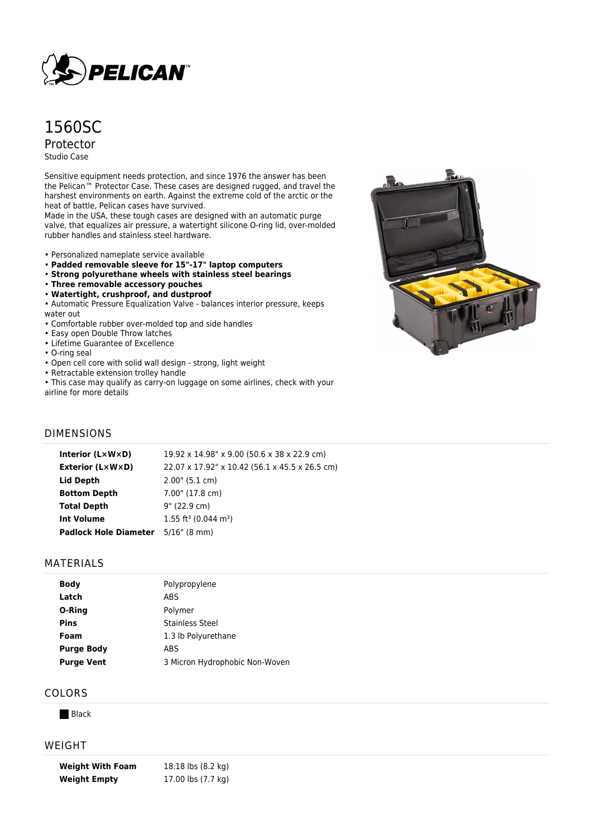

# 1560SC Protector Studio Case

Sensitive equipment needs protection, and since 1976 the answer has been the Pelican™ Protector Case. These cases are designed rugged, and travel the harshest environments on earth. Against the extreme cold of the arctic or the heat of battle, Pelican cases have survived.

Made in the USA, these tough cases are designed with an automatic purge valve, that equalizes air pressure, a watertight silicone O-ring lid, over-molded rubber handles and stainless steel hardware.

- Personalized nameplate service available
- **Padded removable sleeve for 15"-17" laptop computers**
- **Strong polyurethane wheels with stainless steel bearings**
- **Three removable accessory pouches**
- **Watertight, crushproof, and dustproof**
- Automatic Pressure Equalization Valve balances interior pressure, keeps water out
- Comfortable rubber over-molded top and side handles
- Easy open Double Throw latches
- Lifetime Guarantee of Excellence
- O-ring seal
- Open cell core with solid wall design strong, light weight
- Retractable extension trolley handle
- This case may qualify as carry-on luggage on some airlines, check with your

airline for more details

#### DIMENSIONS

| Interior (LxWxD)                          | 19.92 x 14.98" x 9.00 (50.6 x 38 x 22.9 cm)    |
|-------------------------------------------|------------------------------------------------|
| Exterior (L×W×D)                          | 22.07 x 17.92" x 10.42 (56.1 x 45.5 x 26.5 cm) |
| Lid Depth                                 | $2.00$ " (5.1 cm)                              |
| <b>Bottom Depth</b>                       | 7.00" (17.8 cm)                                |
| <b>Total Depth</b>                        | 9" (22.9 cm)                                   |
| <b>Int Volume</b>                         | $1.55$ ft <sup>3</sup> (0.044 m <sup>3</sup> ) |
| <b>Padlock Hole Diameter</b> 5/16" (8 mm) |                                                |
|                                           |                                                |

#### MATERIALS

| <b>Body</b>       | Polypropylene                  |
|-------------------|--------------------------------|
| Latch             | <b>ABS</b>                     |
| O-Ring            | Polymer                        |
| <b>Pins</b>       | <b>Stainless Steel</b>         |
| Foam              | 1.3 lb Polyurethane            |
| <b>Purge Body</b> | <b>ABS</b>                     |
| <b>Purge Vent</b> | 3 Micron Hydrophobic Non-Woven |

#### COLORS

**Black** 

#### WEIGHT

**Weight With Foam** 18.18 lbs (8.2 kg) **Weight Empty** 17.00 lbs (7.7 kg)